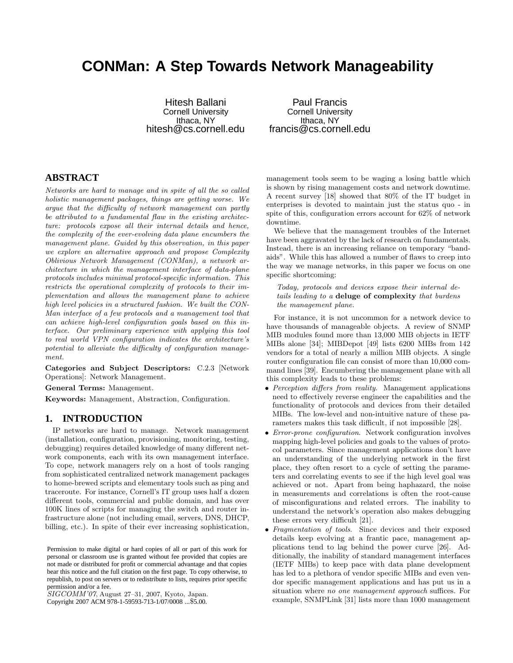# **CONMan: A Step Towards Network Manageability**

Hitesh Ballani Cornell University Ithaca, NY hitesh@cs.cornell.edu

Paul Francis Cornell University Ithaca, NY francis@cs.cornell.edu

# **ABSTRACT**

Networks are hard to manage and in spite of all the so called holistic management packages, things are getting worse. We argue that the difficulty of network management can partly be attributed to a fundamental flaw in the existing architecture: protocols expose all their internal details and hence, the complexity of the ever-evolving data plane encumbers the management plane. Guided by this observation, in this paper we explore an alternative approach and propose Complexity Oblivious Network Management (CONMan), a network architecture in which the management interface of data-plane protocols includes minimal protocol-specific information. This restricts the operational complexity of protocols to their implementation and allows the management plane to achieve high level policies in a structured fashion. We built the CON-Man interface of a few protocols and a management tool that can achieve high-level configuration goals based on this interface. Our preliminary experience with applying this tool to real world VPN configuration indicates the architecture's potential to alleviate the difficulty of configuration management.

Categories and Subject Descriptors: C.2.3 [Network Operations]: Network Management.

General Terms: Management.

Keywords: Management, Abstraction, Configuration.

# **1. INTRODUCTION**

IP networks are hard to manage. Network management (installation, configuration, provisioning, monitoring, testing, debugging) requires detailed knowledge of many different network components, each with its own management interface. To cope, network managers rely on a host of tools ranging from sophisticated centralized network management packages to home-brewed scripts and elementary tools such as ping and traceroute. For instance, Cornell's IT group uses half a dozen different tools, commercial and public domain, and has over 100K lines of scripts for managing the switch and router infrastructure alone (not including email, servers, DNS, DHCP, billing, etc.). In spite of their ever increasing sophistication,

SIGCOMM'07, August 27–31, 2007, Kyoto, Japan.

Copyright 2007 ACM 978-1-59593-713-1/07/0008 ...\$5.00.

management tools seem to be waging a losing battle which is shown by rising management costs and network downtime. A recent survey [18] showed that 80% of the IT budget in enterprises is devoted to maintain just the status quo - in spite of this, configuration errors account for 62% of network downtime.

We believe that the management troubles of the Internet have been aggravated by the lack of research on fundamentals. Instead, there is an increasing reliance on temporary "bandaids". While this has allowed a number of flaws to creep into the way we manage networks, in this paper we focus on one specific shortcoming:

Today, protocols and devices expose their internal details leading to a deluge of complexity that burdens the management plane.

For instance, it is not uncommon for a network device to have thousands of manageable objects. A review of SNMP MIB modules found more than 13,000 MIB objects in IETF MIBs alone [34]; MIBDepot [49] lists 6200 MIBs from 142 vendors for a total of nearly a million MIB objects. A single router configuration file can consist of more than 10,000 command lines [39]. Encumbering the management plane with all this complexity leads to these problems:

- Perception differs from reality. Management applications need to effectively reverse engineer the capabilities and the functionality of protocols and devices from their detailed MIBs. The low-level and non-intuitive nature of these parameters makes this task difficult, if not impossible [28].
- Error-prone configuration. Network configuration involves mapping high-level policies and goals to the values of protocol parameters. Since management applications don't have an understanding of the underlying network in the first place, they often resort to a cycle of setting the parameters and correlating events to see if the high level goal was achieved or not. Apart from being haphazard, the noise in measurements and correlations is often the root-cause of misconfigurations and related errors. The inability to understand the network's operation also makes debugging these errors very difficult [21].
- Fragmentation of tools. Since devices and their exposed details keep evolving at a frantic pace, management applications tend to lag behind the power curve [26]. Additionally, the inability of standard management interfaces (IETF MIBs) to keep pace with data plane development has led to a plethora of vendor specific MIBs and even vendor specific management applications and has put us in a situation where no one management approach suffices. For example, SNMPLink [31] lists more than 1000 management

Permission to make digital or hard copies of all or part of this work for personal or classroom use is granted without fee provided that copies are not made or distributed for profit or commercial advantage and that copies bear this notice and the full citation on the first page. To copy otherwise, to republish, to post on servers or to redistribute to lists, requires prior specific permission and/or a fee.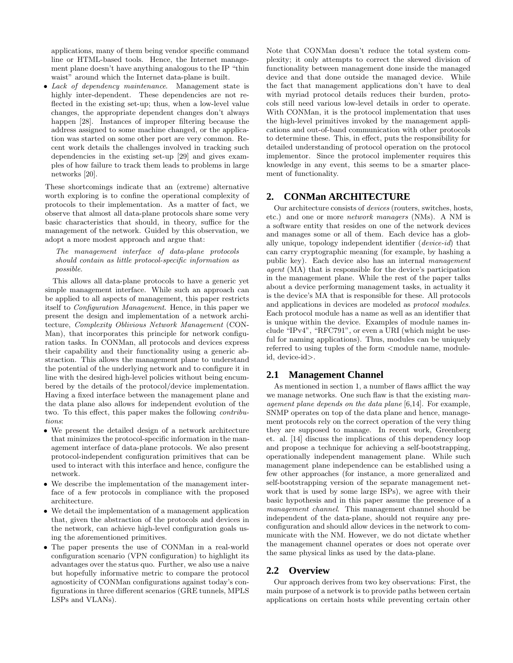applications, many of them being vendor specific command line or HTML-based tools. Hence, the Internet management plane doesn't have anything analogous to the IP "thin waist" around which the Internet data-plane is built.

• Lack of dependency maintenance. Management state is highly inter-dependent. These dependencies are not reflected in the existing set-up; thus, when a low-level value changes, the appropriate dependent changes don't always happen [28]. Instances of improper filtering because the address assigned to some machine changed, or the application was started on some other port are very common. Recent work details the challenges involved in tracking such dependencies in the existing set-up [29] and gives examples of how failure to track them leads to problems in large networks [20].

These shortcomings indicate that an (extreme) alternative worth exploring is to confine the operational complexity of protocols to their implementation. As a matter of fact, we observe that almost all data-plane protocols share some very basic characteristics that should, in theory, suffice for the management of the network. Guided by this observation, we adopt a more modest approach and argue that:

#### The management interface of data-plane protocols should contain as little protocol-specific information as possible.

This allows all data-plane protocols to have a generic yet simple management interface. While such an approach can be applied to all aspects of management, this paper restricts itself to Configuration Management. Hence, in this paper we present the design and implementation of a network architecture, Complexity Oblivious Network Management (CON-Man), that incorporates this principle for network configuration tasks. In CONMan, all protocols and devices express their capability and their functionality using a generic abstraction. This allows the management plane to understand the potential of the underlying network and to configure it in line with the desired high-level policies without being encumbered by the details of the protocol/device implementation. Having a fixed interface between the management plane and the data plane also allows for independent evolution of the two. To this effect, this paper makes the following contributions:

- We present the detailed design of a network architecture that minimizes the protocol-specific information in the management interface of data-plane protocols. We also present protocol-independent configuration primitives that can be used to interact with this interface and hence, configure the network.
- We describe the implementation of the management interface of a few protocols in compliance with the proposed architecture.
- We detail the implementation of a management application that, given the abstraction of the protocols and devices in the network, can achieve high-level configuration goals using the aforementioned primitives.
- The paper presents the use of CONMan in a real-world configuration scenario (VPN configuration) to highlight its advantages over the status quo. Further, we also use a naive but hopefully informative metric to compare the protocol agnosticity of CONMan configurations against today's configurations in three different scenarios (GRE tunnels, MPLS LSPs and VLANs).

Note that CONMan doesn't reduce the total system complexity; it only attempts to correct the skewed division of functionality between management done inside the managed device and that done outside the managed device. While the fact that management applications don't have to deal with myriad protocol details reduces their burden, protocols still need various low-level details in order to operate. With CONMan, it is the protocol implementation that uses the high-level primitives invoked by the management applications and out-of-band communication with other protocols to determine these. This, in effect, puts the responsibility for detailed understanding of protocol operation on the protocol implementor. Since the protocol implementer requires this knowledge in any event, this seems to be a smarter placement of functionality.

### **2. CONMan ARCHITECTURE**

Our architecture consists of devices (routers, switches, hosts, etc.) and one or more network managers (NMs). A NM is a software entity that resides on one of the network devices and manages some or all of them. Each device has a globally unique, topology independent identifier (device-id) that can carry cryptographic meaning (for example, by hashing a public key). Each device also has an internal management agent (MA) that is responsible for the device's participation in the management plane. While the rest of the paper talks about a device performing management tasks, in actuality it is the device's MA that is responsible for these. All protocols and applications in devices are modeled as protocol modules. Each protocol module has a name as well as an identifier that is unique within the device. Examples of module names include "IPv4", "RFC791", or even a URI (which might be useful for naming applications). Thus, modules can be uniquely referred to using tuples of the form  $\leq$  module name, moduleid, device-id>.

### **2.1 Management Channel**

As mentioned in section 1, a number of flaws afflict the way we manage networks. One such flaw is that the existing management plane depends on the data plane [6,14]. For example, SNMP operates on top of the data plane and hence, management protocols rely on the correct operation of the very thing they are supposed to manage. In recent work, Greenberg et. al. [14] discuss the implications of this dependency loop and propose a technique for achieving a self-bootstrapping, operationally independent management plane. While such management plane independence can be established using a few other approaches (for instance, a more generalized and self-bootstrapping version of the separate management network that is used by some large ISPs), we agree with their basic hypothesis and in this paper assume the presence of a management channel. This management channel should be independent of the data-plane, should not require any preconfiguration and should allow devices in the network to communicate with the NM. However, we do not dictate whether the management channel operates or does not operate over the same physical links as used by the data-plane.

# **2.2 Overview**

Our approach derives from two key observations: First, the main purpose of a network is to provide paths between certain applications on certain hosts while preventing certain other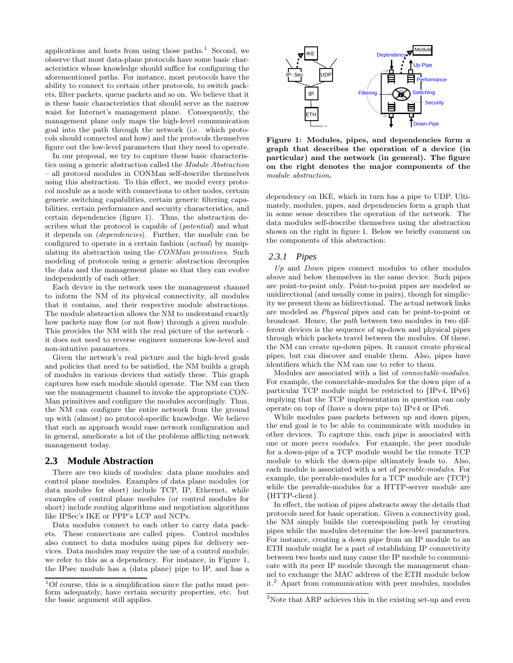applications and hosts from using those paths.<sup>1</sup> Second, we observe that most data-plane protocols have some basic characteristics whose knowledge should suffice for configuring the aforementioned paths. For instance, most protocols have the ability to connect to certain other protocols, to switch packets, filter packets, queue packets and so on. We believe that it is these basic characteristics that should serve as the narrow waist for Internet's management plane. Consequently, the management plane only maps the high-level communication goal into the path through the network (i.e. which protocols should connected and how) and the protocols themselves figure out the low-level parameters that they need to operate.

In our proposal, we try to capture these basic characteristics using a generic abstraction called the Module Abstraction – all protocol modules in CONMan self-describe themselves using this abstraction. To this effect, we model every protocol module as a node with connections to other nodes, certain generic switching capabilities, certain generic filtering capabilities, certain performance and security characteristics, and certain dependencies (figure 1). Thus, the abstraction describes what the protocol is capable of (potential) and what it depends on (dependencies). Further, the module can be configured to operate in a certain fashion (actual) by manipulating its abstraction using the CONMan primitives. Such modeling of protocols using a generic abstraction decouples the data and the management plane so that they can evolve independently of each other.

Each device in the network uses the management channel to inform the NM of its physical connectivity, all modules that it contains, and their respective module abstractions. The module abstraction allows the NM to understand exactly how packets may flow (or not flow) through a given module. This provides the NM with the real picture of the network it does not need to reverse engineer numerous low-level and non-intuitive parameters.

Given the network's real picture and the high-level goals and policies that need to be satisfied, the NM builds a graph of modules in various devices that satisfy these. This graph captures how each module should operate. The NM can then use the management channel to invoke the appropriate CON-Man primitives and configure the modules accordingly. Thus, the NM can configure the entire network from the ground up with (almost) no protocol-specific knowledge. We believe that such as approach would ease network configuration and in general, ameliorate a lot of the problems afflicting network management today.

#### **2.3 Module Abstraction**

There are two kinds of modules: data plane modules and control plane modules. Examples of data plane modules (or data modules for short) include TCP, IP, Ethernet, while examples of control plane modules (or control modules for short) include routing algorithms and negotiation algorithms like IPSec's IKE or PPP's LCP and NCPs.

Data modules connect to each other to carry data packets. These connections are called pipes. Control modules also connect to data modules using pipes for delivery services. Data modules may require the use of a control module; we refer to this as a dependency. For instance, in Figure 1, the IPsec module has a (data plane) pipe to IP, and has a



Figure 1: Modules, pipes, and dependencies form a graph that describes the operation of a device (in particular) and the network (in general). The figure on the right denotes the major components of the module abstraction.

dependency on IKE, which in turn has a pipe to UDP. Ultimately, modules, pipes, and dependencies form a graph that in some sense describes the operation of the network. The data modules self-describe themselves using the abstraction shown on the right in figure 1. Below we briefly comment on the components of this abstraction:

#### *2.3.1 Pipes*

 $Up$  and  $Down$  pipes connect modules to other modules above and below themselves in the same device. Such pipes are point-to-point only. Point-to-point pipes are modeled as unidirectional (and usually come in pairs), though for simplicity we present them as bidirectional. The actual network links are modeled as Physical pipes and can be point-to-point or broadcast. Hence, the path between two modules in two different devices is the sequence of up-down and physical pipes through which packets travel between the modules. Of these, the NM can create up-down pipes. It cannot create physical pipes, but can discover and enable them. Also, pipes have identifiers which the NM can use to refer to them.

Modules are associated with a list of connectable-modules. For example, the connectable-modules for the down pipe of a particular TCP module might be restricted to {IPv4, IPv6} implying that the TCP implementation in question can only operate on top of (have a down pipe to) IPv4 or IPv6.

While modules pass packets between up and down pipes, the end goal is to be able to communicate with modules in other devices. To capture this, each pipe is associated with one or more peers modules. For example, the peer module for a down-pipe of a TCP module would be the remote TCP module to which the down-pipe ultimately leads to. Also, each module is associated with a set of peerable-modules. For example, the peerable-modules for a TCP module are {TCP} while the peerable-modules for a HTTP-server module are {HTTP-client}.

In effect, the notion of pipes abstracts away the details that protocols need for basic operation. Given a connectivity goal, the NM simply builds the corresponding path by creating pipes while the modules determine the low-level parameters. For instance, creating a down pipe from an IP module to an ETH module might be a part of establishing IP connectivity between two hosts and may cause the IP module to communicate with its peer IP module through the management channel to exchange the MAC address of the ETH module below it.<sup>2</sup> Apart from communication with peer modules, modules

 $1$ Of course, this is a simplification since the paths must perform adequately, have certain security properties, etc. but the basic argument still applies.

<sup>&</sup>lt;sup>2</sup>Note that ARP achieves this in the existing set-up and even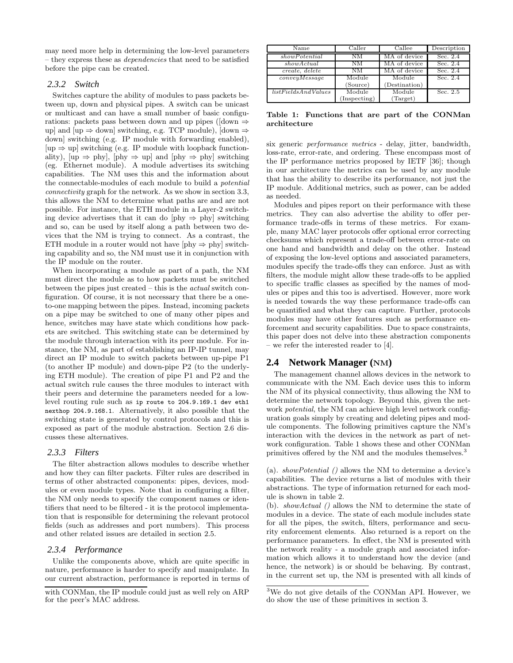may need more help in determining the low-level parameters – they express these as dependencies that need to be satisfied before the pipe can be created.

#### *2.3.2 Switch*

Switches capture the ability of modules to pass packets between up, down and physical pipes. A switch can be unicast or multicast and can have a small number of basic configurations: packets pass between down and up pipes ( $\delta$ down  $\Rightarrow$ up] and  $[up \Rightarrow down]$  switching, e.g. TCP module),  $[down \Rightarrow$ down] switching (e.g. IP module with forwarding enabled),  $[up \Rightarrow up]$  switching (e.g. IP module with loopback functionality),  $[up \Rightarrow phy]$ ,  $[phy \Rightarrow up]$  and  $[phy \Rightarrow phy]$  switching (eg. Ethernet module). A module advertises its switching capabilities. The NM uses this and the information about the connectable-modules of each module to build a potential connectivity graph for the network. As we show in section 3.3, this allows the NM to determine what paths are and are not possible. For instance, the ETH module in a Layer-2 switching device advertises that it can do [phy  $\Rightarrow$  phy] switching and so, can be used by itself along a path between two devices that the NM is trying to connect. As a contrast, the ETH module in a router would not have  $[phy \Rightarrow phy]$  switching capability and so, the NM must use it in conjunction with the IP module on the router.

When incorporating a module as part of a path, the NM must direct the module as to how packets must be switched between the pipes just created – this is the actual switch configuration. Of course, it is not necessary that there be a oneto-one mapping between the pipes. Instead, incoming packets on a pipe may be switched to one of many other pipes and hence, switches may have state which conditions how packets are switched. This switching state can be determined by the module through interaction with its peer module. For instance, the NM, as part of establishing an IP-IP tunnel, may direct an IP module to switch packets between up-pipe P1 (to another IP module) and down-pipe P2 (to the underlying ETH module). The creation of pipe P1 and P2 and the actual switch rule causes the three modules to interact with their peers and determine the parameters needed for a lowlevel routing rule such as ip route to 204.9.169.1 dev eth1 nexthop 204.9.168.1. Alternatively, it also possible that the switching state is generated by control protocols and this is exposed as part of the module abstraction. Section 2.6 discusses these alternatives.

#### *2.3.3 Filters*

The filter abstraction allows modules to describe whether and how they can filter packets. Filter rules are described in terms of other abstracted components: pipes, devices, modules or even module types. Note that in configuring a filter, the NM only needs to specify the component names or identifiers that need to be filtered - it is the protocol implementation that is responsible for determining the relevant protocol fields (such as addresses and port numbers). This process and other related issues are detailed in section 2.5.

#### *2.3.4 Performance*

Unlike the components above, which are quite specific in nature, performance is harder to specify and manipulate. In our current abstraction, performance is reported in terms of

| Name                | Caller       | Callee        | Description |  |
|---------------------|--------------|---------------|-------------|--|
| showPotential       | NΜ           | MA of device  | Sec. $2.4$  |  |
| showActual          | NΜ           | MA of device  | Sec. 2.4    |  |
| create, delete      | NΜ           | MA of device  | Sec. $2.4$  |  |
| conveyMessage       | Module       | Module        | Sec. 2.4    |  |
|                     | (Source)     | (Destination) |             |  |
| listFieldsAndValues | Module       | Module        | Sec. 2.5    |  |
|                     | (Inspecting) | (Target)      |             |  |

Table 1: Functions that are part of the CONMan architecture

six generic performance metrics - delay, jitter, bandwidth, loss-rate, error-rate, and ordering. These encompass most of the IP performance metrics proposed by IETF [36]; though in our architecture the metrics can be used by any module that has the ability to describe its performance, not just the IP module. Additional metrics, such as power, can be added as needed.

Modules and pipes report on their performance with these metrics. They can also advertise the ability to offer performance trade-offs in terms of these metrics. For example, many MAC layer protocols offer optional error correcting checksums which represent a trade-off between error-rate on one hand and bandwidth and delay on the other. Instead of exposing the low-level options and associated parameters, modules specify the trade-offs they can enforce. Just as with filters, the module might allow these trade-offs to be applied to specific traffic classes as specified by the names of modules or pipes and this too is advertised. However, more work is needed towards the way these performance trade-offs can be quantified and what they can capture. Further, protocols modules may have other features such as performance enforcement and security capabilities. Due to space constraints, this paper does not delve into these abstraction components – we refer the interested reader to [4].

### **2.4 Network Manager (**NM**)**

The management channel allows devices in the network to communicate with the NM. Each device uses this to inform the NM of its physical connectivity, thus allowing the NM to determine the network topology. Beyond this, given the network potential, the NM can achieve high level network configuration goals simply by creating and deleting pipes and module components. The following primitives capture the NM's interaction with the devices in the network as part of network configuration. Table 1 shows these and other CONMan primitives offered by the NM and the modules themselves.<sup>3</sup>

(a). showPotential () allows the NM to determine a device's capabilities. The device returns a list of modules with their abstractions. The type of information returned for each module is shown in table 2.

(b). showActual () allows the NM to determine the state of modules in a device. The state of each module includes state for all the pipes, the switch, filters, performance and security enforcement elements. Also returned is a report on the performance parameters. In effect, the NM is presented with the network reality - a module graph and associated information which allows it to understand how the device (and hence, the network) is or should be behaving. By contrast, in the current set up, the NM is presented with all kinds of

with CONMan, the IP module could just as well rely on ARP for the peer's MAC address.

<sup>3</sup>We do not give details of the CONMan API. However, we do show the use of these primitives in section 3.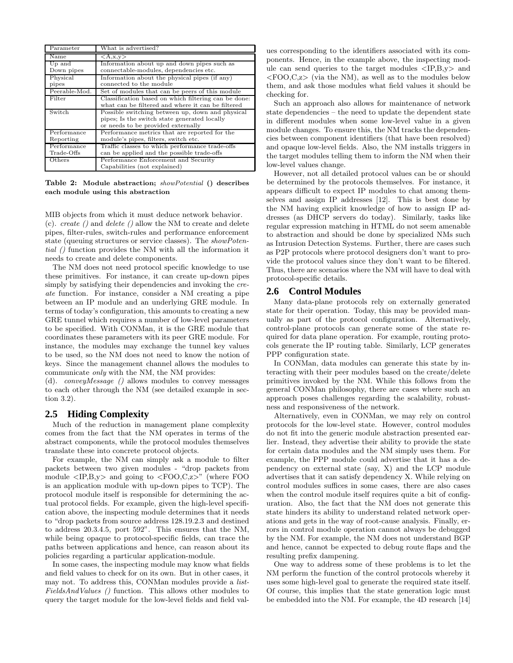| Parameter     | What is advertised?                                  |
|---------------|------------------------------------------------------|
| Name          | $\langle A, x, y \rangle$                            |
| Up and        | Information about up and down pipes such as          |
| Down pipes    | connectable-modules, dependencies etc.               |
| Physical      | Information about the physical pipes (if any)        |
| pipes         | connected to the module                              |
| Peerable-Mod. | Set of modules that can be peers of this module      |
| Filter        | Classification based on which filtering can be done: |
|               | what can be filtered and where it can be filtered    |
| Switch        | Possible switching between up, down and physical     |
|               | pipes; Is the switch state generated locally         |
|               | or needs to be provided externally                   |
| Performance   | Performance metrics that are reported for the        |
| Reporting     | module's pipes, filters, switch etc.                 |
| Performance   | Traffic classes to which performance trade-offs      |
| Trade-Offs    | can be applied and the possible trade-offs           |
| Others        | Performance Enforcement and Security                 |
|               | Capabilities (not explained)                         |

Table 2: Module abstraction; showPotential () describes each module using this abstraction

MIB objects from which it must deduce network behavior. (c). create () and delete () allow the NM to create and delete pipes, filter-rules, switch-rules and performance enforcement state (queuing structures or service classes). The *showPoten*tial () function provides the NM with all the information it needs to create and delete components.

The NM does not need protocol specific knowledge to use these primitives. For instance, it can create up-down pipes simply by satisfying their dependencies and invoking the *cre*ate function. For instance, consider a NM creating a pipe between an IP module and an underlying GRE module. In terms of today's configuration, this amounts to creating a new GRE tunnel which requires a number of low-level parameters to be specified. With CONMan, it is the GRE module that coordinates these parameters with its peer GRE module. For instance, the modules may exchange the tunnel key values to be used, so the NM does not need to know the notion of keys. Since the management channel allows the modules to communicate only with the NM, the NM provides:

(d). conveyMessage () allows modules to convey messages to each other through the NM (see detailed example in section 3.2).

### **2.5 Hiding Complexity**

Much of the reduction in management plane complexity comes from the fact that the NM operates in terms of the abstract components, while the protocol modules themselves translate these into concrete protocol objects.

For example, the NM can simply ask a module to filter packets between two given modules - "drop packets from module  $\langle IP, B, y \rangle$  and going to  $\langle FOO, C, z \rangle$ " (where FOO is an application module with up-down pipes to TCP). The protocol module itself is responsible for determining the actual protocol fields. For example, given the high-level specification above, the inspecting module determines that it needs to "drop packets from source address 128.19.2.3 and destined to address 20.3.4.5, port 592". This ensures that the NM, while being opaque to protocol-specific fields, can trace the paths between applications and hence, can reason about its policies regarding a particular application-module.

In some cases, the inspecting module may know what fields and field values to check for on its own. But in other cases, it may not. To address this, CONMan modules provide a *list*-FieldsAndValues () function. This allows other modules to query the target module for the low-level fields and field values corresponding to the identifiers associated with its components. Hence, in the example above, the inspecting module can send queries to the target modules  $\langle IP, B, y \rangle$  and  $\langle$ FOO,C,z $>$  (via the NM), as well as to the modules below them, and ask those modules what field values it should be checking for.

Such an approach also allows for maintenance of network state dependencies – the need to update the dependent state in different modules when some low-level value in a given module changes. To ensure this, the NM tracks the dependencies between component identifiers (that have been resolved) and opaque low-level fields. Also, the NM installs triggers in the target modules telling them to inform the NM when their low-level values change.

However, not all detailed protocol values can be or should be determined by the protocols themselves. For instance, it appears difficult to expect IP modules to chat among themselves and assign IP addresses [12]. This is best done by the NM having explicit knowledge of how to assign IP addresses (as DHCP servers do today). Similarly, tasks like regular expression matching in HTML do not seem amenable to abstraction and should be done by specialized NMs such as Intrusion Detection Systems. Further, there are cases such as P2P protocols where protocol designers don't want to provide the protocol values since they don't want to be filtered. Thus, there are scenarios where the NM will have to deal with protocol-specific details.

### **2.6 Control Modules**

Many data-plane protocols rely on externally generated state for their operation. Today, this may be provided manually as part of the protocol configuration. Alternatively, control-plane protocols can generate some of the state required for data plane operation. For example, routing protocols generate the IP routing table. Similarly, LCP generates PPP configuration state.

In CONMan, data modules can generate this state by interacting with their peer modules based on the create/delete primitives invoked by the NM. While this follows from the general CONMan philosophy, there are cases where such an approach poses challenges regarding the scalability, robustness and responsiveness of the network.

Alternatively, even in CONMan, we may rely on control protocols for the low-level state. However, control modules do not fit into the generic module abstraction presented earlier. Instead, they advertise their ability to provide the state for certain data modules and the NM simply uses them. For example, the PPP module could advertise that it has a dependency on external state (say, X) and the LCP module advertises that it can satisfy dependency X. While relying on control modules suffices in some cases, there are also cases when the control module itself requires quite a bit of configuration. Also, the fact that the NM does not generate this state hinders its ability to understand related network operations and gets in the way of root-cause analysis. Finally, errors in control module operation cannot always be debugged by the NM. For example, the NM does not understand BGP and hence, cannot be expected to debug route flaps and the resulting prefix dampening.

One way to address some of these problems is to let the NM perform the function of the control protocols whereby it uses some high-level goal to generate the required state itself. Of course, this implies that the state generation logic must be embedded into the NM. For example, the 4D research [14]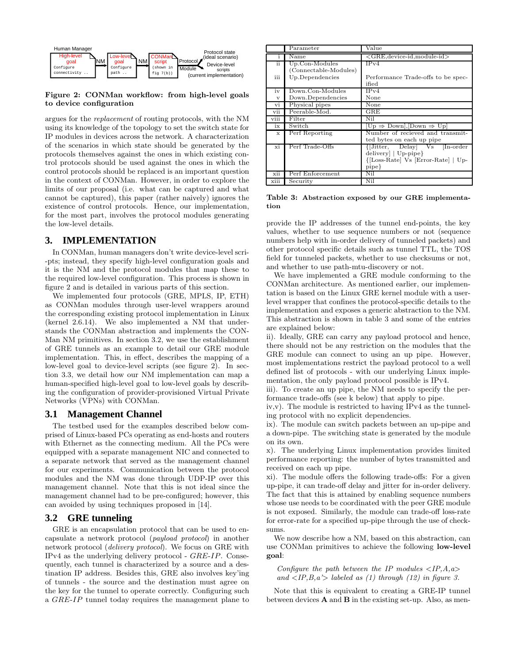

#### Figure 2: CONMan workflow: from high-level goals to device configuration

argues for the replacement of routing protocols, with the NM using its knowledge of the topology to set the switch state for IP modules in devices across the network. A characterization of the scenarios in which state should be generated by the protocols themselves against the ones in which existing control protocols should be used against the ones in which the control protocols should be replaced is an important question in the context of CONMan. However, in order to explore the limits of our proposal (i.e. what can be captured and what cannot be captured), this paper (rather naively) ignores the existence of control protocols. Hence, our implementation, for the most part, involves the protocol modules generating the low-level details.

### **3. IMPLEMENTATION**

In CONMan, human managers don't write device-level scri- -pts; instead, they specify high-level configuration goals and it is the NM and the protocol modules that map these to the required low-level configuration. This process is shown in figure 2 and is detailed in various parts of this section.

We implemented four protocols (GRE, MPLS, IP, ETH) as CONMan modules through user-level wrappers around the corresponding existing protocol implementation in Linux (kernel 2.6.14). We also implemented a NM that understands the CONMan abstraction and implements the CON-Man NM primitives. In section 3.2, we use the establishment of GRE tunnels as an example to detail our GRE module implementation. This, in effect, describes the mapping of a low-level goal to device-level scripts (see figure 2). In section 3.3, we detail how our NM implementation can map a human-specified high-level goal to low-level goals by describing the configuration of provider-provisioned Virtual Private Networks (VPNs) with CONMan.

### **3.1 Management Channel**

The testbed used for the examples described below comprised of Linux-based PCs operating as end-hosts and routers with Ethernet as the connecting medium. All the PCs were equipped with a separate management NIC and connected to a separate network that served as the management channel for our experiments. Communication between the protocol modules and the NM was done through UDP-IP over this management channel. Note that this is not ideal since the management channel had to be pre-configured; however, this can avoided by using techniques proposed in [14].

### **3.2 GRE tunneling**

GRE is an encapsulation protocol that can be used to encapsulate a network protocol (payload protocol) in another network protocol (delivery protocol). We focus on GRE with IPv4 as the underlying delivery protocol - GRE-IP. Consequently, each tunnel is characterized by a source and a destination IP address. Besides this, GRE also involves key'ing of tunnels - the source and the destination must agree on the key for the tunnel to operate correctly. Configuring such a GRE-IP tunnel today requires the management plane to

|              | $\rm Parameter$                          | Value                                                                                                |
|--------------|------------------------------------------|------------------------------------------------------------------------------------------------------|
| ï            | Name                                     | <gre, device-id,="" module-id=""></gre,>                                                             |
| ii.          | Up.Con-Modules                           | IPv4                                                                                                 |
| iii          | (Connectable-Modules)<br>Up.Dependencies | Performance Trade-offs to be spec-<br>ified                                                          |
| iv           | Down.Con-Modules                         | IPv4                                                                                                 |
| $\mathbf{v}$ | Down.Dependencies                        | None                                                                                                 |
| vi           | Physical pipes                           | None                                                                                                 |
| vii          | Peerable-Mod.                            | $_{\rm GRE}$                                                                                         |
| viii         | Filter                                   | Nil                                                                                                  |
| ix           | Switch                                   | $[Up \Rightarrow Down], [Down \Rightarrow Up]$                                                       |
| x            | Perf Reporting                           | Number of recieved and transmit-<br>ted bytes on each up pipe                                        |
| xi           | Perf Trade-Offs                          | {[Jitter, Delay] Vs [In-order]<br>delivery   Up-pipe}<br>{[Loss-Rate] Vs [Error-Rate]   Up-<br>pipe} |
| xii          | Perf Enforcement                         | Nil                                                                                                  |
| xiii         | Security                                 | Nil                                                                                                  |

Table 3: Abstraction exposed by our GRE implementation

provide the IP addresses of the tunnel end-points, the key values, whether to use sequence numbers or not (sequence numbers help with in-order delivery of tunneled packets) and other protocol specific details such as tunnel TTL, the TOS field for tunneled packets, whether to use checksums or not, and whether to use path-mtu-discovery or not.

We have implemented a GRE module conforming to the CONMan architecture. As mentioned earlier, our implementation is based on the Linux GRE kernel module with a userlevel wrapper that confines the protocol-specific details to the implementation and exposes a generic abstraction to the NM. This abstraction is shown in table 3 and some of the entries are explained below:

ii). Ideally, GRE can carry any payload protocol and hence, there should not be any restriction on the modules that the GRE module can connect to using an up pipe. However, most implementations restrict the payload protocol to a well defined list of protocols - with our underlying Linux implementation, the only payload protocol possible is IPv4.

iii). To create an up pipe, the NM needs to specify the performance trade-offs (see k below) that apply to pipe.

iv,v). The module is restricted to having IPv4 as the tunneling protocol with no explicit dependencies.

ix). The module can switch packets between an up-pipe and a down-pipe. The switching state is generated by the module on its own.

x). The underlying Linux implementation provides limited performance reporting: the number of bytes transmitted and received on each up pipe.

xi). The module offers the following trade-offs: For a given up-pipe, it can trade-off delay and jitter for in-order delivery. The fact that this is attained by enabling sequence numbers whose use needs to be coordinated with the peer GRE module is not exposed. Similarly, the module can trade-off loss-rate for error-rate for a specified up-pipe through the use of checksums.

We now describe how a NM, based on this abstraction, can use CONMan primitives to achieve the following low-level goal:

#### Configure the path between the IP modules  $\langle IP, A, a \rangle$ and  $\langle IP, B, a \rangle$  labeled as (1) through (12) in figure 3.

Note that this is equivalent to creating a GRE-IP tunnel between devices  $A$  and  $B$  in the existing set-up. Also, as men-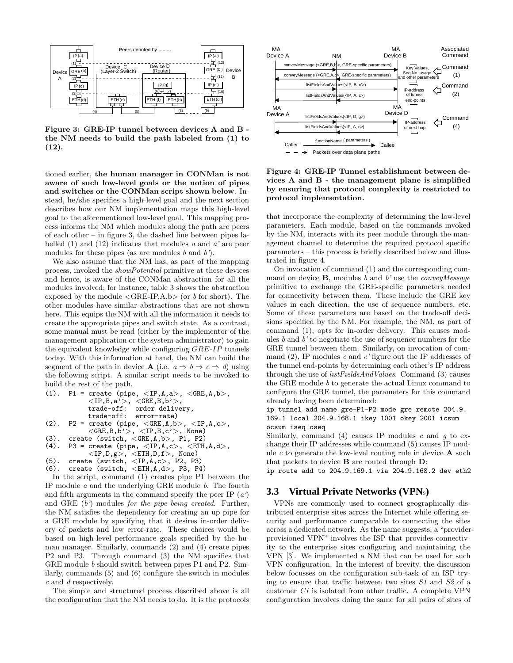

Figure 3: GRE-IP tunnel between devices A and B the NM needs to build the path labeled from (1) to (12).

tioned earlier, the human manager in CONMan is not aware of such low-level goals or the notion of pipes and switches or the CONMan script shown below. Instead, he/she specifies a high-level goal and the next section describes how our NM implementation maps this high-level goal to the aforementioned low-level goal. This mapping process informs the NM which modules along the path are peers of each other – in figure 3, the dashed line between pipes labelled  $(1)$  and  $(12)$  indicates that modules a and a' are peer modules for these pipes (as are modules  $b$  and  $b'$ ).

We also assume that the NM has, as part of the mapping process, invoked the showPotential primitive at these devices and hence, is aware of the CONMan abstraction for all the modules involved; for instance, table 3 shows the abstraction exposed by the module  $\langle \text{GRE-IP.A,b>} \rangle$  (or b for short). The other modules have similar abstractions that are not shown here. This equips the NM with all the information it needs to create the appropriate pipes and switch state. As a contrast, some manual must be read (either by the implementor of the management application or the system administrator) to gain the equivalent knowledge while configuring GRE-IP tunnels today. With this information at hand, the NM can build the segment of the path in device **A** (i.e.  $a \Rightarrow b \Rightarrow c \Rightarrow d$ ) using the following script. A similar script needs to be invoked to build the rest of the path.

| build the rest of the path.                                                        |
|------------------------------------------------------------------------------------|
| (1). P1 = create (pipe, $\langle IP, A, a \rangle$ , $\langle GRE, A, b \rangle$ , |
| $\langle$ IP,B,a' $>$ , $\langle$ GRE,B,b' $>$ ,                                   |
| trade-off: order delivery,                                                         |
| trade-off: error-rate)                                                             |
| (2). P2 = create (pipe, $\langle$ GRE,A,b>, $\langle$ IP,A,c>,                     |
| $\langle$ GRE,B,b' $>$ , $\langle$ IP,B,c' $>$ , None)                             |
| $(3)$ . create (switch, $\langle$ GRE,A,b $>$ , P1, P2)                            |
| (4). P3 = create (pipe, $\langle IP, A, c \rangle$ , $\langle ETH, A, d \rangle$ , |
| $\langle IP, D, g \rangle$ , $\langle ETH, D, f \rangle$ , None)                   |
| $(5)$ . create (switch, $\langle IP,A,c\rangle$ , P2, P3)                          |
| $(6)$ . create (switch, $\langle$ ETH,A,d $\rangle$ , P3, P4)                      |
|                                                                                    |

In the script, command (1) creates pipe P1 between the IP module a and the underlying GRE module b. The fourth and fifth arguments in the command specify the peer IP  $(a)$ and GRE  $(b')$  modules for the pipe being created. Further, the NM satisfies the dependency for creating an up pipe for a GRE module by specifying that it desires in-order delivery of packets and low error-rate. These choices would be based on high-level performance goals specified by the human manager. Similarly, commands (2) and (4) create pipes P2 and P3. Through command (3) the NM specifies that GRE module b should switch between pipes P1 and P2. Similarly, commands (5) and (6) configure the switch in modules c and d respectively.

The simple and structured process described above is all the configuration that the NM needs to do. It is the protocols



Figure 4: GRE-IP Tunnel establishment between devices A and B - the management plane is simplified by ensuring that protocol complexity is restricted to protocol implementation.

that incorporate the complexity of determining the low-level parameters. Each module, based on the commands invoked by the NM, interacts with its peer module through the management channel to determine the required protocol specific parameters – this process is briefly described below and illustrated in figure 4.

On invocation of command (1) and the corresponding command on device  $\bf{B}$ , modules b and b' use the *conveyMessage* primitive to exchange the GRE-specific parameters needed for connectivity between them. These include the GRE key values in each direction, the use of sequence numbers, etc. Some of these parameters are based on the trade-off decisions specified by the NM. For example, the NM, as part of command (1), opts for in-order delivery. This causes modules  $b$  and  $b'$  to negotiate the use of sequence numbers for the GRE tunnel between them. Similarly, on invocation of command  $(2)$ , IP modules c and c' figure out the IP addresses of the tunnel end-points by determining each other's IP address through the use of listFieldsAndValues. Command (3) causes the GRE module  $b$  to generate the actual Linux command to configure the GRE tunnel, the parameters for this command already having been determined:

ip tunnel add name gre-P1-P2 mode gre remote 204.9. 169.1 local 204.9.168.1 ikey 1001 okey 2001 icsum ocsum iseq oseq

Similarly, command (4) causes IP modules c and q to exchange their IP addresses while command (5) causes IP module c to generate the low-level routing rule in device  $\bf{A}$  such that packets to device B are routed through D:

ip route add to 204.9.169.1 via 204.9.168.2 dev eth2

### **3.3 Virtual Private Networks (VPN**s**)**

VPNs are commonly used to connect geographically distributed enterprise sites across the Internet while offering security and performance comparable to connecting the sites across a dedicated network. As the name suggests, a "providerprovisioned VPN" involves the ISP that provides connectivity to the enterprise sites configuring and maintaining the VPN [3]. We implemented a NM that can be used for such VPN configuration. In the interest of brevity, the discussion below focusses on the configuration sub-task of an ISP trying to ensure that traffic between two sites S1 and S2 of a customer C1 is isolated from other traffic. A complete VPN configuration involves doing the same for all pairs of sites of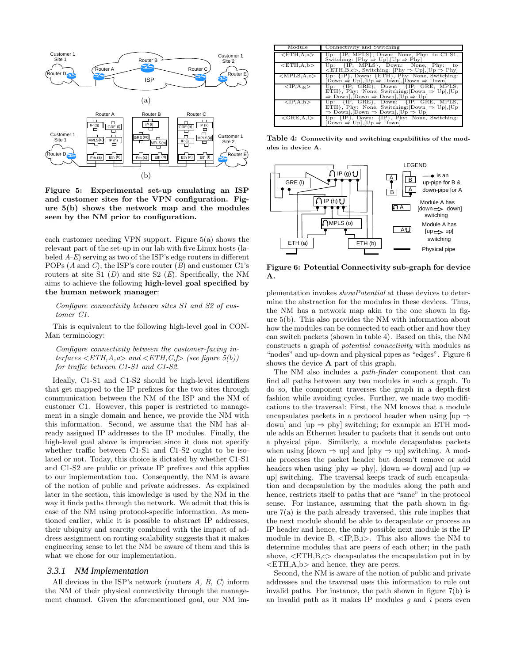

Figure 5: Experimental set-up emulating an ISP and customer sites for the VPN configuration. Figure 5(b) shows the network map and the modules seen by the NM prior to configuration.

each customer needing VPN support. Figure 5(a) shows the relevant part of the set-up in our lab with five Linux hosts (labeled A-E) serving as two of the ISP's edge routers in different POPs  $(A \text{ and } C)$ , the ISP's core router  $(B)$  and customer C1's routers at site S1  $(D)$  and site S2  $(E)$ . Specifically, the NM aims to achieve the following high-level goal specified by the human network manager:

Configure connectivity between sites S1 and S2 of customer C1.

This is equivalent to the following high-level goal in CON-Man terminology:

Configure connectivity between the customer-facing interfaces  $\langle ETH, A, a \rangle$  and  $\langle ETH, C, f \rangle$  (see figure 5(b)) for traffic between C1-S1 and C1-S2.

Ideally, C1-S1 and C1-S2 should be high-level identifiers that get mapped to the IP prefixes for the two sites through communication between the NM of the ISP and the NM of customer C1. However, this paper is restricted to management in a single domain and hence, we provide the NM with this information. Second, we assume that the NM has already assigned IP addresses to the IP modules. Finally, the high-level goal above is imprecise since it does not specify whether traffic between C1-S1 and C1-S2 ought to be isolated or not. Today, this choice is dictated by whether C1-S1 and C1-S2 are public or private IP prefixes and this applies to our implementation too. Consequently, the NM is aware of the notion of public and private addresses. As explained later in the section, this knowledge is used by the NM in the way it finds paths through the network. We admit that this is case of the NM using protocol-specific information. As mentioned earlier, while it is possible to abstract IP addresses, their ubiquity and scarcity combined with the impact of address assignment on routing scalability suggests that it makes engineering sense to let the NM be aware of them and this is what we chose for our implementation.

#### *3.3.1 NM Implementation*

All devices in the ISP's network (routers  $A, B, C$ ) inform the NM of their physical connectivity through the management channel. Given the aforementioned goal, our NM im-

| Module                              | Connectivity and Switching                                                                                                                                                |
|-------------------------------------|---------------------------------------------------------------------------------------------------------------------------------------------------------------------------|
| $\langle$ ETH,A,a $>$               | Up: {IP, MPLS}, Down: None, Phy: to C1-S1,<br>Switching: $[Phy \Rightarrow Up], [Up \Rightarrow Phy]$                                                                     |
| $\langle$ ETH,A,b $>$               | Up: {IP, MPLS}, Down: None, Phy: to<br>$\langle$ ETH,B,c>, Switching: [Phy $\Rightarrow$ Up],[Up $\Rightarrow$ Phy]                                                       |
| $\langle \text{MPLS}, A, o \rangle$ | Up: {IP}, Down: {ETH}, Phy: None, Switching:<br>$[Down \Rightarrow Up], [Up \Rightarrow Down], [Down \Rightarrow Down]$                                                   |
| $<$ IP,A,g $>$                      | Up: {IP, GRE}, Down: {IP, GRE, MPLS,<br>ETH}, Phy: None, Switching: Down $\Rightarrow$ Up], [Up]<br>$\Rightarrow$ Down, Down $\Rightarrow$ Down, Up $\Rightarrow$ Up      |
| $<$ IP,A,h $>$                      | Up: {IP, GRE}, Down: {IP, GRE, MPLS,<br>ETH}, Phy: None, Switching: [Down $\Rightarrow$ Up], [Up<br>$\Rightarrow$ Down], [Down $\Rightarrow$ Down], [Up $\Rightarrow$ Up] |
| $<$ GRE,A,l $>$                     | Up: {IP}, Down: {IP}, Phy: None, Switching:<br>$[Down \Rightarrow Up], [Up \Rightarrow Down]$                                                                             |

Table 4: Connectivity and switching capabilities of the modules in device A.



Figure 6: Potential Connectivity sub-graph for device A.

plementation invokes showPotential at these devices to determine the abstraction for the modules in these devices. Thus, the NM has a network map akin to the one shown in figure 5(b). This also provides the NM with information about how the modules can be connected to each other and how they can switch packets (shown in table 4). Based on this, the NM constructs a graph of potential connectivity with modules as "nodes" and up-down and physical pipes as "edges". Figure 6 shows the device **A** part of this graph.

The NM also includes a path-finder component that can find all paths between any two modules in such a graph. To do so, the component traverses the graph in a depth-first fashion while avoiding cycles. Further, we made two modifications to the traversal: First, the NM knows that a module encapsulates packets in a protocol header when using  $[up] \Rightarrow$ down] and  $[up \Rightarrow phy]$  switching; for example an ETH module adds an Ethernet header to packets that it sends out onto a physical pipe. Similarly, a module decapsulates packets when using  $[down \Rightarrow up]$  and  $[phy \Rightarrow up]$  switching. A module processes the packet header but doesn't remove or add headers when using [phy  $\Rightarrow$  phy], [down  $\Rightarrow$  down] and [up  $\Rightarrow$ up] switching. The traversal keeps track of such encapsulation and decapsulation by the modules along the path and hence, restricts itself to paths that are "sane" in the protocol sense. For instance, assuming that the path shown in figure  $7(a)$  is the path already traversed, this rule implies that the next module should be able to decapsulate or process an IP header and hence, the only possible next module is the IP module in device B, <IP,B,i>. This also allows the NM to determine modules that are peers of each other; in the path above,  $\langle \angle ETH, B, c \rangle$  decapsulates the encapsulation put in by <ETH,A,b> and hence, they are peers.

Second, the NM is aware of the notion of public and private addresses and the traversal uses this information to rule out invalid paths. For instance, the path shown in figure 7(b) is an invalid path as it makes IP modules  $q$  and  $i$  peers even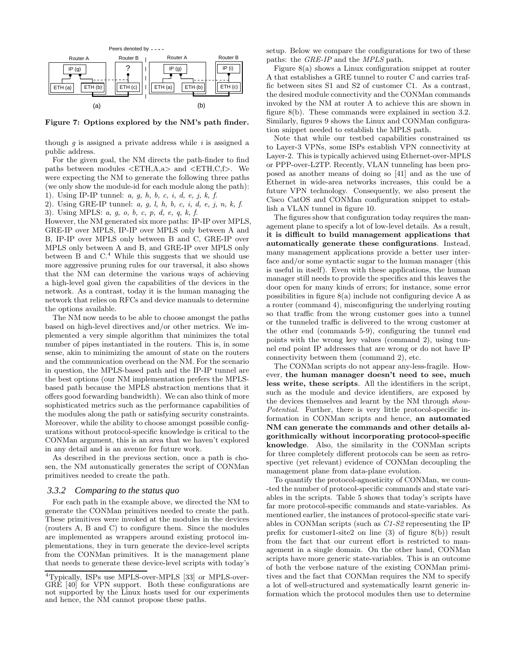

Figure 7: Options explored by the NM's path finder.

though  $g$  is assigned a private address while  $i$  is assigned a public address.

For the given goal, the NM directs the path-finder to find paths between modules  $\langle \text{ETH}, A, a \rangle$  and  $\langle \text{ETH}, C, f \rangle$ . We were expecting the NM to generate the following three paths (we only show the module-id for each module along the path):

1). Using IP-IP tunnel:  $a, g, h, b, c, i, d, e, j, k, f$ .

2). Using GRE-IP tunnel:  $a, g, l, h, b, c, i, d, e, j, n, k, f.$ 

3). Using MPLS: a, g, o, b, c, p, d, e, q, k, f.

However, the NM generated six more paths: IP-IP over MPLS, GRE-IP over MPLS, IP-IP over MPLS only between A and B, IP-IP over MPLS only between B and C, GRE-IP over MPLS only between A and B, and GRE-IP over MPLS only between B and  $C<sup>4</sup>$  While this suggests that we should use more aggressive pruning rules for our traversal, it also shows that the NM can determine the various ways of achieving a high-level goal given the capabilities of the devices in the network. As a contrast, today it is the human managing the network that relies on RFCs and device manuals to determine the options available.

The NM now needs to be able to choose amongst the paths based on high-level directives and/or other metrics. We implemented a very simple algorithm that minimizes the total number of pipes instantiated in the routers. This is, in some sense, akin to minimizing the amount of state on the routers and the communication overhead on the NM. For the scenario in question, the MPLS-based path and the IP-IP tunnel are the best options (our NM implementation prefers the MPLSbased path because the MPLS abstraction mentions that it offers good forwarding bandwidth). We can also think of more sophisticated metrics such as the performance capabilities of the modules along the path or satisfying security constraints. Moreover, while the ability to choose amongst possible configurations without protocol-specific knowledge is critical to the CONMan argument, this is an area that we haven't explored in any detail and is an avenue for future work.

As described in the previous section, once a path is chosen, the NM automatically generates the script of CONMan primitives needed to create the path.

#### *3.3.2 Comparing to the status quo*

For each path in the example above, we directed the NM to generate the CONMan primitives needed to create the path. These primitives were invoked at the modules in the devices (routers A, B and C) to configure them. Since the modules are implemented as wrappers around existing protocol implementations, they in turn generate the device-level scripts from the CONMan primitives. It is the management plane that needs to generate these device-level scripts with today's setup. Below we compare the configurations for two of these paths: the GRE-IP and the MPLS path.

Figure 8(a) shows a Linux configuration snippet at router A that establishes a GRE tunnel to router C and carries traffic between sites S1 and S2 of customer C1. As a contrast, the desired module connectivity and the CONMan commands invoked by the NM at router A to achieve this are shown in figure 8(b). These commands were explained in section 3.2. Similarly, figures 9 shows the Linux and CONMan configuration snippet needed to establish the MPLS path.

Note that while our testbed capabilities constrained us to Layer-3 VPNs, some ISPs establish VPN connectivity at Layer-2. This is typically achieved using Ethernet-over-MPLS or PPP-over-L2TP. Recently, VLAN tunneling has been proposed as another means of doing so [41] and as the use of Ethernet in wide-area networks increases, this could be a future VPN technology. Consequently, we also present the Cisco CatOS and CONMan configuration snippet to establish a VLAN tunnel in figure 10.

The figures show that configuration today requires the management plane to specify a lot of low-level details. As a result, it is difficult to build management applications that automatically generate these configurations. Instead, many management applications provide a better user interface and/or some syntactic sugar to the human manager (this is useful in itself). Even with these applications, the human manager still needs to provide the specifics and this leaves the door open for many kinds of errors; for instance, some error possibilities in figure 8(a) include not configuring device A as a router (command 4), misconfiguring the underlying routing so that traffic from the wrong customer goes into a tunnel or the tunneled traffic is delivered to the wrong customer at the other end (commands 5-9), configuring the tunnel end points with the wrong key values (command 2), using tunnel end point IP addresses that are wrong or do not have IP connectivity between them (command 2), etc.

The CONMan scripts do not appear any-less-fragile. However, the human manager doesn't need to see, much less write, these scripts. All the identifiers in the script, such as the module and device identifiers, are exposed by the devices themselves and learnt by the NM through show-Potential. Further, there is very little protocol-specific information in CONMan scripts and hence, an automated NM can generate the commands and other details algorithmically without incorporating protocol-specific knowledge. Also, the similarity in the CONMan scripts for three completely different protocols can be seen as retrospective (yet relevant) evidence of CONMan decoupling the management plane from data-plane evolution.

To quantify the protocol-agnosticity of CONMan, we coun- -ted the number of protocol-specific commands and state variables in the scripts. Table 5 shows that today's scripts have far more protocol-specific commands and state-variables. As mentioned earlier, the instances of protocol-specific state variables in CONMan scripts (such as C1-S2 representing the IP prefix for customer1-site2 on line  $(3)$  of figure  $8(b)$ ) result from the fact that our current effort is restricted to management in a single domain. On the other hand, CONMan scripts have more generic state-variables. This is an outcome of both the verbose nature of the existing CONMan primitives and the fact that CONMan requires the NM to specify a lot of well-structured and systematically learnt generic information which the protocol modules then use to determine

<sup>4</sup>Typically, ISPs use MPLS-over-MPLS [33] or MPLS-over-GRE [40] for VPN support. Both these configurations are not supported by the Linux hosts used for our experiments and hence, the NM cannot propose these paths.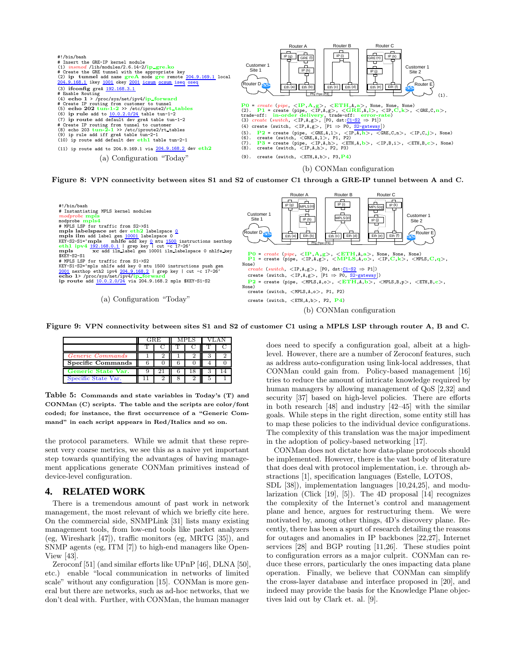

Figure 8: VPN connectivity between sites S1 and S2 of customer C1 through a GRE-IP tunnel between A and C.



Figure 9: VPN connectivity between sites S1 and S2 of customer C1 using a MPLS LSP through router A, B and C.

|                     | GRE |  | MPLS |  |  |  |
|---------------------|-----|--|------|--|--|--|
|                     |     |  |      |  |  |  |
| Generic Commands    |     |  |      |  |  |  |
| Specific Commands   |     |  |      |  |  |  |
| Generic State Var.  |     |  | 6    |  |  |  |
| Specific State Var. |     |  |      |  |  |  |

Table 5: Commands and state variables in Today's (T) and CONMan (C) scripts. The table and the scripts are color/font coded; for instance, the first occurrence of a "Generic Command" in each script appears in Red/Italics and so on.

the protocol parameters. While we admit that these represent very coarse metrics, we see this as a naive yet important step towards quantifying the advantages of having management applications generate CONMan primitives instead of device-level configuration.

### **4. RELATED WORK**

There is a tremendous amount of past work in network management, the most relevant of which we briefly cite here. On the commercial side, SNMPLink [31] lists many existing management tools, from low-end tools like packet analyzers (eg, Wireshark [47]), traffic monitors (eg, MRTG [35]), and SNMP agents (eg, ITM [7]) to high-end managers like Open-View [43].

Zeroconf [51] (and similar efforts like UPnP [46], DLNA [50], etc.) enable "local communication in networks of limited scale" without any configuration [15]. CONMan is more general but there are networks, such as ad-hoc networks, that we don't deal with. Further, with CONMan, the human manager

does need to specify a configuration goal, albeit at a highlevel. However, there are a number of Zeroconf features, such as address auto-configuration using link-local addresses, that CONMan could gain from. Policy-based management [16] tries to reduce the amount of intricate knowledge required by human managers by allowing management of QoS [2,32] and security [37] based on high-level policies. There are efforts in both research [48] and industry [42–45] with the similar goals. While steps in the right direction, some entity still has to map these policies to the individual device configurations. The complexity of this translation was the major impediment in the adoption of policy-based networking [17].

CONMan does not dictate how data-plane protocols should be implemented. However, there is the vast body of literature that does deal with protocol implementation, i.e. through abstractions [1], specification languages (Estelle, LOTOS,

SDL [38]), implementation languages [10,24,25], and modularization (Click [19], [5]). The 4D proposal [14] recognizes the complexity of the Internet's control and management plane and hence, argues for restructuring them. We were motivated by, among other things, 4D's discovery plane. Recently, there has been a spurt of research detailing the reasons for outages and anomalies in IP backbones [22,27], Internet services [28] and BGP routing [11,26]. These studies point to configuration errors as a major culprit. CONMan can reduce these errors, particularly the ones impacting data plane operation. Finally, we believe that CONMan can simplify the cross-layer database and interface proposed in [20], and indeed may provide the basis for the Knowledge Plane objectives laid out by Clark et. al. [9].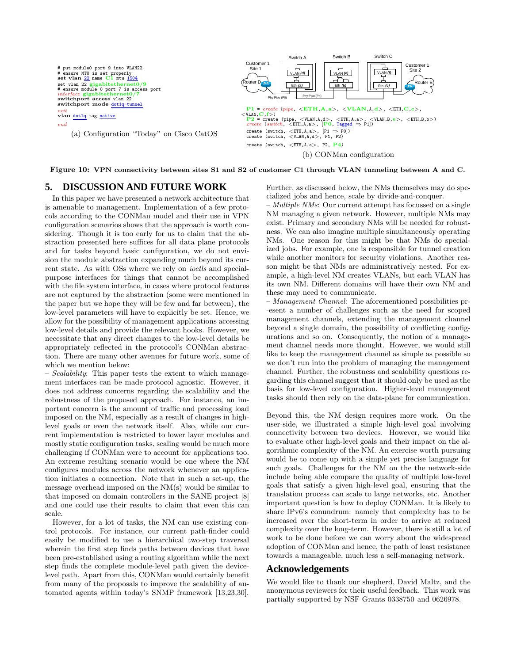

(a) Configuration "Today" on Cisco CatOS



Figure 10: VPN connectivity between sites S1 and S2 of customer C1 through VLAN tunneling between A and C.

#### **5. DISCUSSION AND FUTURE WORK**

In this paper we have presented a network architecture that is amenable to management. Implementation of a few protocols according to the CONMan model and their use in VPN configuration scenarios shows that the approach is worth considering. Though it is too early for us to claim that the abstraction presented here suffices for all data plane protocols and for tasks beyond basic configuration, we do not envision the module abstraction expanding much beyond its current state. As with OSs where we rely on *ioctls* and specialpurpose interfaces for things that cannot be accomplished with the file system interface, in cases where protocol features are not captured by the abstraction (some were mentioned in the paper but we hope they will be few and far between), the low-level parameters will have to explicitly be set. Hence, we allow for the possibility of management applications accessing low-level details and provide the relevant hooks. However, we necessitate that any direct changes to the low-level details be appropriately reflected in the protocol's CONMan abstraction. There are many other avenues for future work, some of which we mention below:

– Scalability: This paper tests the extent to which management interfaces can be made protocol agnostic. However, it does not address concerns regarding the scalability and the robustness of the proposed approach. For instance, an important concern is the amount of traffic and processing load imposed on the NM, especially as a result of changes in highlevel goals or even the network itself. Also, while our current implementation is restricted to lower layer modules and mostly static configuration tasks, scaling would be much more challenging if CONMan were to account for applications too. An extreme resulting scenario would be one where the NM configures modules across the network whenever an application initiates a connection. Note that in such a set-up, the message overhead imposed on the NM(s) would be similar to that imposed on domain controllers in the SANE project [8] and one could use their results to claim that even this can scale.

However, for a lot of tasks, the NM can use existing control protocols. For instance, our current path-finder could easily be modified to use a hierarchical two-step traversal wherein the first step finds paths between devices that have been pre-established using a routing algorithm while the next step finds the complete module-level path given the devicelevel path. Apart from this, CONMan would certainly benefit from many of the proposals to improve the scalability of automated agents within today's SNMP framework [13,23,30].

Further, as discussed below, the NMs themselves may do specialized jobs and hence, scale by divide-and-conquer.

 $-Multiple NMs$ : Our current attempt has focussed on a single NM managing a given network. However, multiple NMs may exist. Primary and secondary NMs will be needed for robustness. We can also imagine multiple simultaneously operating NMs. One reason for this might be that NMs do specialized jobs. For example, one is responsible for tunnel creation while another monitors for security violations. Another reason might be that NMs are administratively nested. For example, a high-level NM creates VLANs, but each VLAN has its own NM. Different domains will have their own NM and these may need to communicate.

– Management Channel: The aforementioned possibilities pr- -esent a number of challenges such as the need for scoped management channels, extending the management channel beyond a single domain, the possibility of conflicting configurations and so on. Consequently, the notion of a management channel needs more thought. However, we would still like to keep the management channel as simple as possible so we don't run into the problem of managing the management channel. Further, the robustness and scalability questions regarding this channel suggest that it should only be used as the basis for low-level configuration. Higher-level management tasks should then rely on the data-plane for communication.

Beyond this, the NM design requires more work. On the user-side, we illustrated a simple high-level goal involving connectivity between two devices. However, we would like to evaluate other high-level goals and their impact on the algorithmic complexity of the NM. An exercise worth pursuing would be to come up with a simple yet precise language for such goals. Challenges for the NM on the the network-side include being able compare the quality of multiple low-level goals that satisfy a given high-level goal, ensuring that the translation process can scale to large networks, etc. Another important question is how to deploy CONMan. It is likely to share IPv6's conundrum: namely that complexity has to be increased over the short-term in order to arrive at reduced complexity over the long-term. However, there is still a lot of work to be done before we can worry about the widespread adoption of CONMan and hence, the path of least resistance towards a manageable, much less a self-managing network.

#### **Acknowledgements**

We would like to thank our shepherd, David Maltz, and the anonymous reviewers for their useful feedback. This work was partially supported by NSF Grants 0338750 and 0626978.